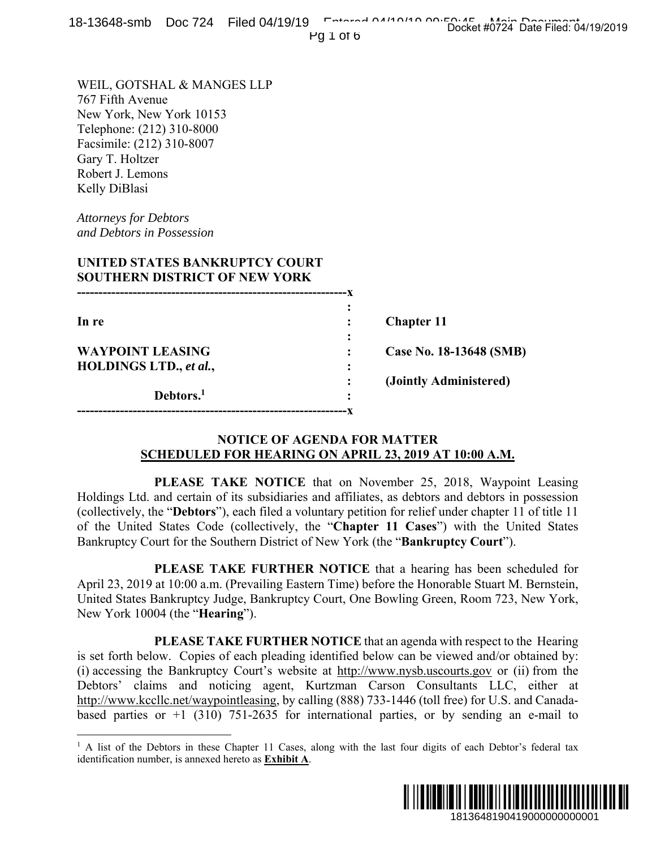|  | 18-13648-smb Doc 724 Filed 04/19/19 Entered 04/10/10 00:50xHatthata Data Filed: 04 |                                     |
|--|------------------------------------------------------------------------------------|-------------------------------------|
|  |                                                                                    | Docket #0724 Date Filed: 04/19/2019 |
|  | $110.7$ $0.7k$                                                                     |                                     |

Pg 1 of 6

WEIL, GOTSHAL & MANGES LLP 767 Fifth Avenue New York, New York 10153 Telephone: (212) 310-8000 Facsimile: (212) 310-8007 Gary T. Holtzer Robert J. Lemons Kelly DiBlasi

*Attorneys for Debtors and Debtors in Possession* 

 $\overline{a}$ 

### **UNITED STATES BANKRUPTCY COURT SOUTHERN DISTRICT OF NEW YORK**

| In re                   | $\ddot{\cdot}$ | <b>Chapter 11</b>       |
|-------------------------|----------------|-------------------------|
|                         | ٠              |                         |
| <b>WAYPOINT LEASING</b> |                | Case No. 18-13648 (SMB) |
| HOLDINGS LTD., et al.,  |                |                         |
|                         | $\bullet$      | (Jointly Administered)  |
| Debtors. <sup>1</sup>   | ٠              |                         |
|                         |                |                         |

#### **NOTICE OF AGENDA FOR MATTER SCHEDULED FOR HEARING ON APRIL 23, 2019 AT 10:00 A.M.**

 **PLEASE TAKE NOTICE** that on November 25, 2018, Waypoint Leasing Holdings Ltd. and certain of its subsidiaries and affiliates, as debtors and debtors in possession (collectively, the "**Debtors**"), each filed a voluntary petition for relief under chapter 11 of title 11 of the United States Code (collectively, the "**Chapter 11 Cases**") with the United States Bankruptcy Court for the Southern District of New York (the "**Bankruptcy Court**").

 **PLEASE TAKE FURTHER NOTICE** that a hearing has been scheduled for April 23, 2019 at 10:00 a.m. (Prevailing Eastern Time) before the Honorable Stuart M. Bernstein, United States Bankruptcy Judge, Bankruptcy Court, One Bowling Green, Room 723, New York, New York 10004 (the "**Hearing**").

 **PLEASE TAKE FURTHER NOTICE** that an agenda with respect to the Hearing is set forth below. Copies of each pleading identified below can be viewed and/or obtained by: (i) accessing the Bankruptcy Court's website at http://www.nysb.uscourts.gov or (ii) from the Debtors' claims and noticing agent, Kurtzman Carson Consultants LLC, either at http://www.kccllc.net/waypointleasing, by calling (888) 733-1446 (toll free) for U.S. and Canadabased parties or  $+1$  (310) 751-2635 for international parties, or by sending an e-mail to **1913648 (SMB)**<br> **1913648 (SMB)**<br> **ministered)**<br> **ministered)**<br> **ministered)**<br> **ministered)**<br> **ministered)**<br> **ministered)**<br> **ministered)**<br> **ministered)**<br> **ministered**<br> **minister 11 of title 11<br>
with the United States<br>
<b>th** 

<sup>&</sup>lt;sup>1</sup> A list of the Debtors in these Chapter 11 Cases, along with the last four digits of each Debtor's federal tax identification number, is annexed hereto as **Exhibit A**.

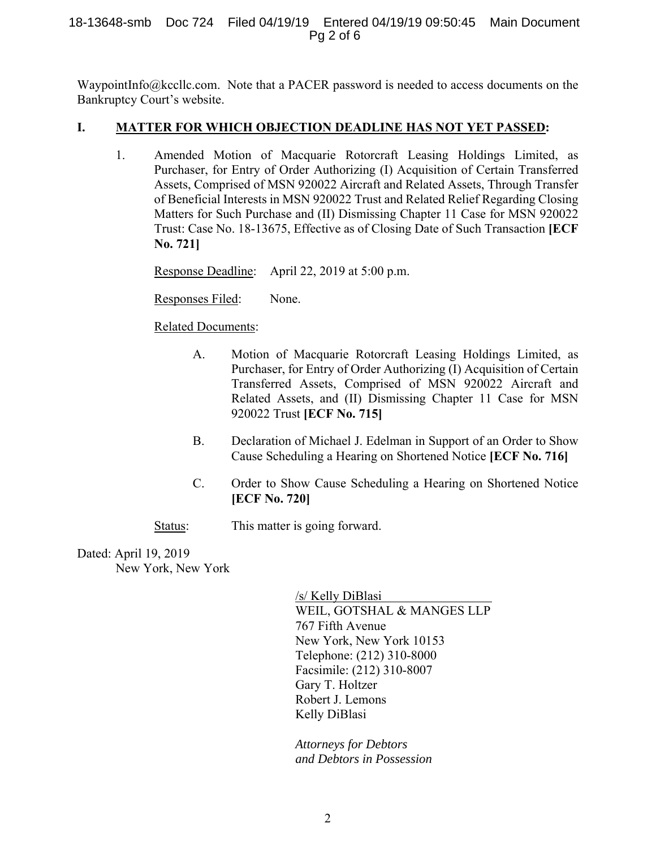WaypointInfo@kccllc.com. Note that a PACER password is needed to access documents on the Bankruptcy Court's website.

## **I. MATTER FOR WHICH OBJECTION DEADLINE HAS NOT YET PASSED:**

1. Amended Motion of Macquarie Rotorcraft Leasing Holdings Limited, as Purchaser, for Entry of Order Authorizing (I) Acquisition of Certain Transferred Assets, Comprised of MSN 920022 Aircraft and Related Assets, Through Transfer of Beneficial Interests in MSN 920022 Trust and Related Relief Regarding Closing Matters for Such Purchase and (II) Dismissing Chapter 11 Case for MSN 920022 Trust: Case No. 18-13675, Effective as of Closing Date of Such Transaction **[ECF No. 721]**

Response Deadline: April 22, 2019 at 5:00 p.m.

Responses Filed: None.

Related Documents:

- A. Motion of Macquarie Rotorcraft Leasing Holdings Limited, as Purchaser, for Entry of Order Authorizing (I) Acquisition of Certain Transferred Assets, Comprised of MSN 920022 Aircraft and Related Assets, and (II) Dismissing Chapter 11 Case for MSN 920022 Trust **[ECF No. 715]**
- B. Declaration of Michael J. Edelman in Support of an Order to Show Cause Scheduling a Hearing on Shortened Notice **[ECF No. 716]**
- C. Order to Show Cause Scheduling a Hearing on Shortened Notice **[ECF No. 720]**

Status: This matter is going forward.

Dated: April 19, 2019 New York, New York

> /s/ Kelly DiBlasi WEIL, GOTSHAL & MANGES LLP 767 Fifth Avenue New York, New York 10153 Telephone: (212) 310-8000 Facsimile: (212) 310-8007 Gary T. Holtzer Robert J. Lemons Kelly DiBlasi

*Attorneys for Debtors and Debtors in Possession*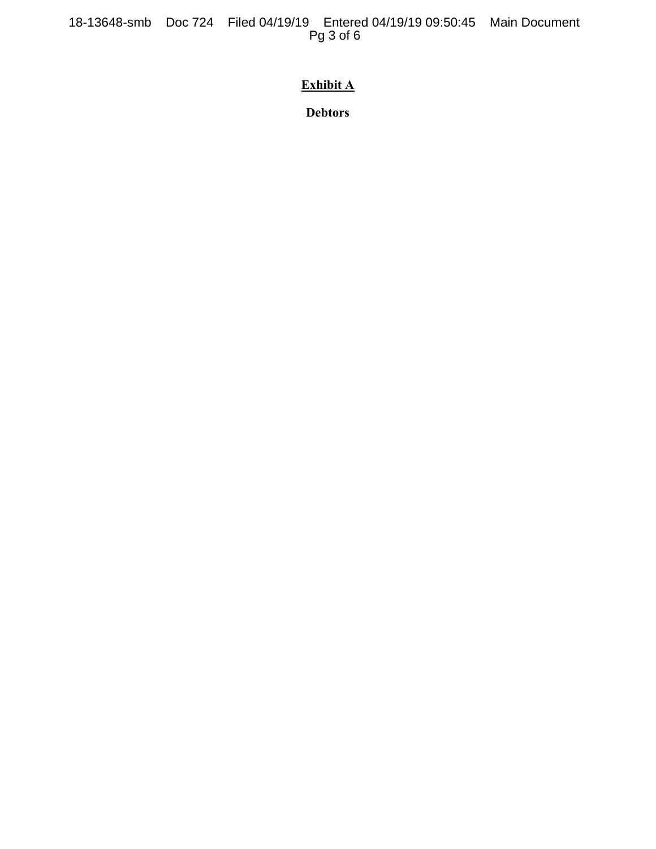18-13648-smb Doc 724 Filed 04/19/19 Entered 04/19/19 09:50:45 Main Document Pg 3 of 6

# **Exhibit A**

**Debtors**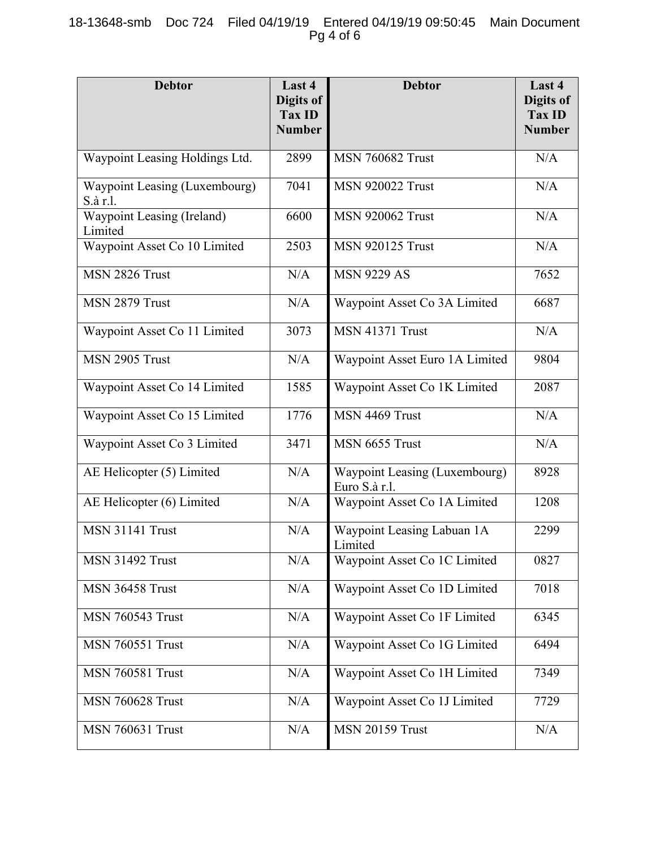### 18-13648-smb Doc 724 Filed 04/19/19 Entered 04/19/19 09:50:45 Main Document Pg 4 of 6

| <b>Debtor</b>                             | Last 4<br>Digits of<br><b>Tax ID</b><br><b>Number</b> | <b>Debtor</b>                                  | Last 4<br>Digits of<br><b>Tax ID</b><br><b>Number</b> |
|-------------------------------------------|-------------------------------------------------------|------------------------------------------------|-------------------------------------------------------|
| Waypoint Leasing Holdings Ltd.            | 2899                                                  | <b>MSN 760682 Trust</b>                        | N/A                                                   |
| Waypoint Leasing (Luxembourg)<br>S.à r.l. | 7041                                                  | <b>MSN 920022 Trust</b>                        | N/A                                                   |
| Waypoint Leasing (Ireland)<br>Limited     | 6600                                                  | <b>MSN 920062 Trust</b>                        | N/A                                                   |
| Waypoint Asset Co 10 Limited              | 2503                                                  | <b>MSN 920125 Trust</b>                        | N/A                                                   |
| MSN 2826 Trust                            | N/A                                                   | <b>MSN 9229 AS</b>                             | 7652                                                  |
| MSN 2879 Trust                            | N/A                                                   | Waypoint Asset Co 3A Limited                   | 6687                                                  |
| Waypoint Asset Co 11 Limited              | 3073                                                  | <b>MSN 41371 Trust</b>                         | N/A                                                   |
| MSN 2905 Trust                            | N/A                                                   | Waypoint Asset Euro 1A Limited                 | 9804                                                  |
| Waypoint Asset Co 14 Limited              | 1585                                                  | Waypoint Asset Co 1K Limited                   | 2087                                                  |
| Waypoint Asset Co 15 Limited              | 1776                                                  | MSN 4469 Trust                                 | N/A                                                   |
| Waypoint Asset Co 3 Limited               | 3471                                                  | MSN 6655 Trust                                 | N/A                                                   |
| AE Helicopter (5) Limited                 | N/A                                                   | Waypoint Leasing (Luxembourg)<br>Euro S.à r.l. | 8928                                                  |
| AE Helicopter (6) Limited                 | N/A                                                   | Waypoint Asset Co 1A Limited                   | 1208                                                  |
| MSN 31141 Trust                           | N/A                                                   | Waypoint Leasing Labuan 1A<br>Limited          | 2299                                                  |
| <b>MSN 31492 Trust</b>                    | N/A                                                   | Waypoint Asset Co 1C Limited                   | 0827                                                  |
| <b>MSN 36458 Trust</b>                    | N/A                                                   | Waypoint Asset Co 1D Limited                   | 7018                                                  |
| <b>MSN 760543 Trust</b>                   | N/A                                                   | Waypoint Asset Co 1F Limited                   | 6345                                                  |
| <b>MSN 760551 Trust</b>                   | N/A                                                   | Waypoint Asset Co 1G Limited                   | 6494                                                  |
| <b>MSN 760581 Trust</b>                   | N/A                                                   | Waypoint Asset Co 1H Limited                   | 7349                                                  |
| <b>MSN 760628 Trust</b>                   | N/A                                                   | Waypoint Asset Co 1J Limited                   | 7729                                                  |
| <b>MSN 760631 Trust</b>                   | N/A                                                   | <b>MSN 20159 Trust</b>                         | N/A                                                   |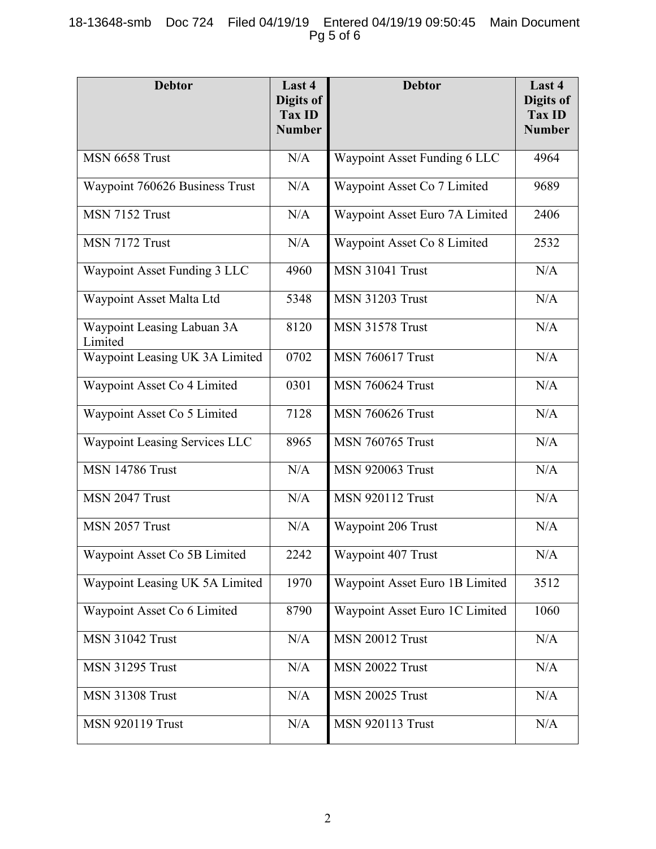## 18-13648-smb Doc 724 Filed 04/19/19 Entered 04/19/19 09:50:45 Main Document Pg 5 of 6

| <b>Debtor</b>                         | Last 4<br>Digits of<br>Tax ID<br><b>Number</b> | <b>Debtor</b>                  | Last 4<br>Digits of<br><b>Tax ID</b><br><b>Number</b> |
|---------------------------------------|------------------------------------------------|--------------------------------|-------------------------------------------------------|
| MSN 6658 Trust                        | N/A                                            | Waypoint Asset Funding 6 LLC   | 4964                                                  |
| Waypoint 760626 Business Trust        | N/A                                            | Waypoint Asset Co 7 Limited    | 9689                                                  |
| MSN 7152 Trust                        | N/A                                            | Waypoint Asset Euro 7A Limited | 2406                                                  |
| MSN 7172 Trust                        | N/A                                            | Waypoint Asset Co 8 Limited    | 2532                                                  |
| Waypoint Asset Funding 3 LLC          | 4960                                           | <b>MSN 31041 Trust</b>         | N/A                                                   |
| Waypoint Asset Malta Ltd              | 5348                                           | <b>MSN 31203 Trust</b>         | N/A                                                   |
| Waypoint Leasing Labuan 3A<br>Limited | 8120                                           | <b>MSN 31578 Trust</b>         | N/A                                                   |
| Waypoint Leasing UK 3A Limited        | 0702                                           | <b>MSN 760617 Trust</b>        | N/A                                                   |
| Waypoint Asset Co 4 Limited           | 0301                                           | <b>MSN 760624 Trust</b>        | N/A                                                   |
| Waypoint Asset Co 5 Limited           | 7128                                           | <b>MSN 760626 Trust</b>        | N/A                                                   |
| Waypoint Leasing Services LLC         | 8965                                           | <b>MSN 760765 Trust</b>        | N/A                                                   |
| <b>MSN 14786 Trust</b>                | N/A                                            | <b>MSN 920063 Trust</b>        | N/A                                                   |
| MSN 2047 Trust                        | N/A                                            | <b>MSN 920112 Trust</b>        | N/A                                                   |
| MSN 2057 Trust                        | N/A                                            | Waypoint 206 Trust             | N/A                                                   |
| Waypoint Asset Co 5B Limited          | 2242                                           | Waypoint 407 Trust             | N/A                                                   |
| Waypoint Leasing UK 5A Limited        | 1970                                           | Waypoint Asset Euro 1B Limited | 3512                                                  |
| Waypoint Asset Co 6 Limited           | 8790                                           | Waypoint Asset Euro 1C Limited | 1060                                                  |
| <b>MSN 31042 Trust</b>                | N/A                                            | <b>MSN 20012 Trust</b>         | N/A                                                   |
| <b>MSN 31295 Trust</b>                | N/A                                            | <b>MSN 20022 Trust</b>         | N/A                                                   |
| <b>MSN 31308 Trust</b>                | N/A                                            | <b>MSN 20025 Trust</b>         | N/A                                                   |
| <b>MSN 920119 Trust</b>               | N/A                                            | <b>MSN 920113 Trust</b>        | N/A                                                   |